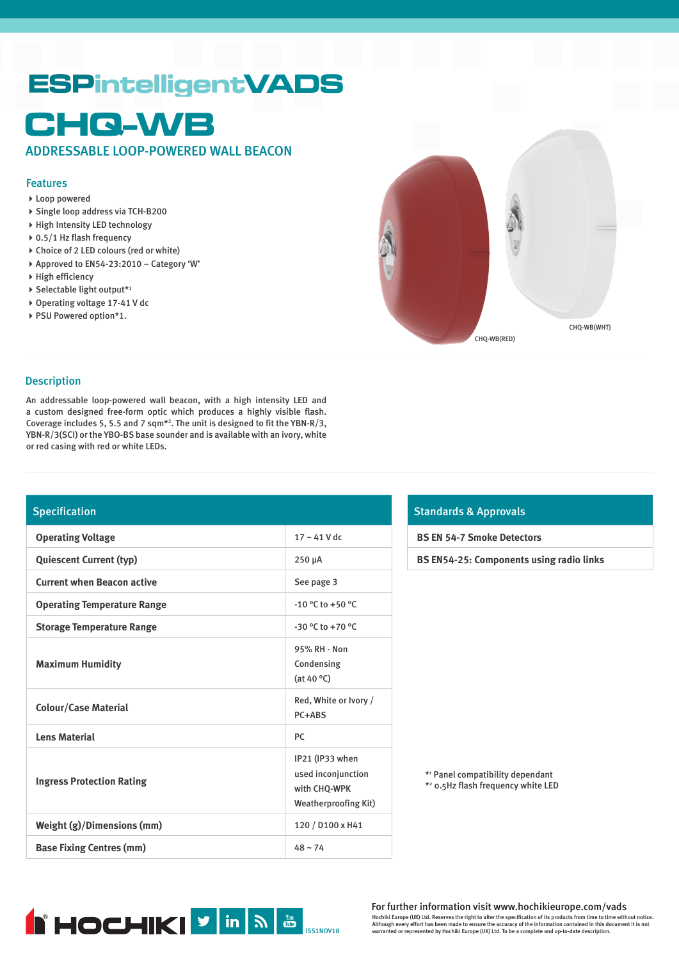# **ESPintelligentVADS**

# **CHQ-WB**

ADDRESSABLE LOOP-POWERED WALL BEACON

# Features

- Loop powered
- Single loop address via TCH-B200
- High Intensity LED technology
- ▶ 0.5/1 Hz flash frequency
- Choice of 2 LED colours (red or white)
- Approved to EN54-23:2010 Category 'W'
- High efficiency
- $\blacktriangleright$  Selectable light output\*1
- ▶ Operating voltage 17-41 V dc
- ▶ PSU Powered option\*1.



#### Description

An addressable loop-powered wall beacon, with a high intensity LED and a custom designed free-form optic which produces a highly visible flash. Coverage includes 5, 5.5 and 7 sqm\*2 . The unit is designed to fit the YBN-R/3, YBN-R/3(SCI) or the YBO-BS base sounder and is available with an ivory, white or red casing with red or white LEDs.

# Specification

| <b>Operating Voltage</b>           | $17 - 41$ V dc                                                                       |
|------------------------------------|--------------------------------------------------------------------------------------|
| <b>Quiescent Current (typ)</b>     | 250 µA                                                                               |
| <b>Current when Beacon active</b>  | See page 3                                                                           |
| <b>Operating Temperature Range</b> | $-10$ °C to +50 °C                                                                   |
| <b>Storage Temperature Range</b>   | $-30$ °C to $+70$ °C                                                                 |
| <b>Maximum Humidity</b>            | 95% RH - Non<br>Condensing<br>(at 40 $\degree$ C)                                    |
| <b>Colour/Case Material</b>        | Red, White or Ivory /<br>PC+ABS                                                      |
| <b>Lens Material</b>               | <b>PC</b>                                                                            |
| <b>Ingress Protection Rating</b>   | IP21 (IP33 when<br>used inconjunction<br>with CHQ-WPK<br><b>Weatherproofing Kit)</b> |
| Weight (g)/Dimensions (mm)         | 120 / D100 x H41                                                                     |
| <b>Base Fixing Centres (mm)</b>    | $48 - 74$                                                                            |

# Standards & Approvals

**BS EN 54-7 Smoke Detectors**

**BS EN54-25: Components using radio links**

\*1 Panel compatibility dependant

\*2 0.5Hz flash frequency white LED



For further information visit www.hochikieurope.com/vads Hochiki Europe (UK) Ltd. Reserves the right to alter the specification of its products from time to time without notice.<br>Although every effort has been made to ensure the accuracy of the information contained in this docum